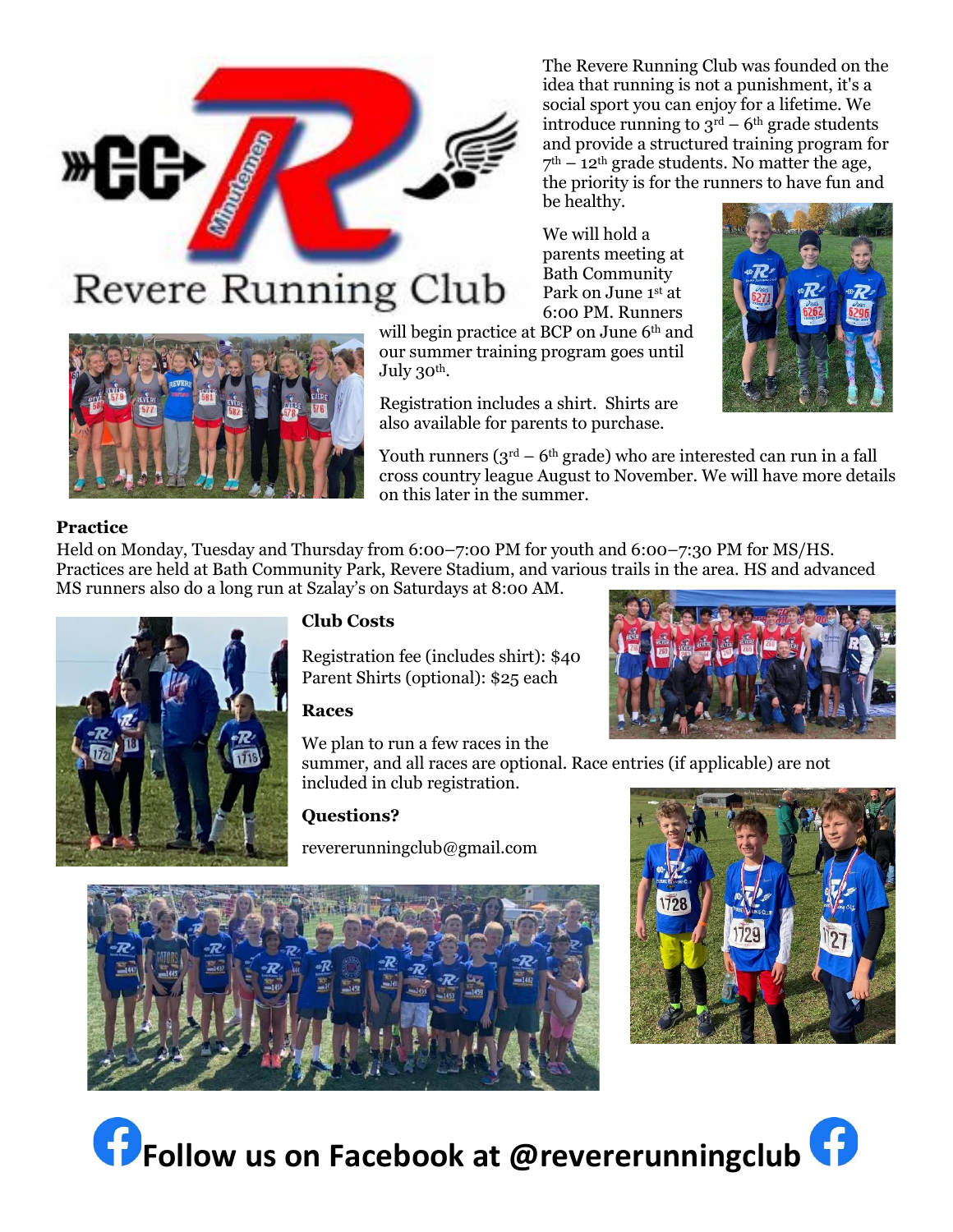The Revere Running Club was founded on the idea that running is not a punishment, it's a social sport you can enjoy for a lifetime. We introduce running to  $3^{rd}$  – 6<sup>th</sup> grade students and provide a structured training program for  $7<sup>th</sup> - 12<sup>th</sup>$  grade students. No matter the age, the priority is for the runners to have fun and be healthy.

We will hold a parents meeting at Bath Community Park on June 1st at 6:00 PM. Runners

will begin practice at BCP on June 6<sup>th</sup> and our summer training program goes until July  $30<sup>th</sup>$ .

Registration includes a shirt. Shirts are also available for parents to purchase.

Youth runners  $(3<sup>rd</sup> – 6<sup>th</sup> grade)$  who are interested can run in a fall cross country league August to November. We will have more details on this later in the summer.

## **Practice**

Held on Monday, Tuesday and Thursday from 6:00–7:00 PM for youth and 6:00–7:30 PM for MS/HS. Practices are held at Bath Community Park, Revere Stadium, and various trails in the area. HS and advanced MS runners also do a long run at Szalay's on Saturdays at 8:00 AM.

## **Club Costs**

Registration fee (includes shirt): \$40 Parent Shirts (optional): \$25 each

We plan to run a few races in the

summer, and all races are optional. Race entries (if applicable) are not included in club registration.

## **Questions?**

revererunningclub@gmail.com